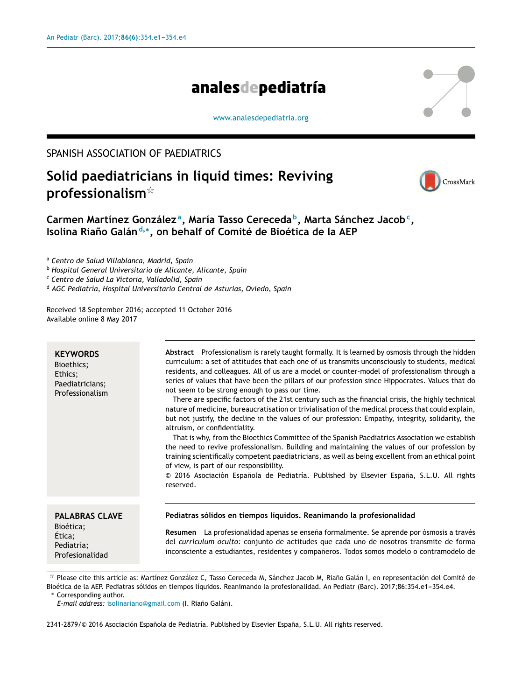# analesdepediatría



[www.analesdepediatria.org](http://www.analesdepediatria.org)

SPANISH ASSOCIATION OF PAEDIATRICS

## **Solid paediatricians in liquid times: Reviving professionalism**-



**Carmen Martínez González <sup>a</sup> , María Tasso Cereceda <sup>b</sup> , Marta Sánchez Jacob<sup>c</sup> , Isolina Riano˜ Galán<sup>d</sup>**,<sup>∗</sup> **, on behalf of Comité de Bioética de la AEP**

<sup>a</sup> *Centro de Salud Villablanca, Madrid, Spain*

<sup>b</sup> *Hospital General Universitario de Alicante, Alicante, Spain*

<sup>c</sup> *Centro de Salud La Victoria, Valladolid, Spain*

<sup>d</sup> *AGC Pediatría, Hospital Universitario Central de Asturias, Oviedo, Spain*

Received 18 September 2016; accepted 11 October 2016 Available online 8 May 2017

| <b>KEYWORDS</b><br>Bioethics;<br>Ethics;<br>Paediatricians;<br>Professionalism | Abstract Professionalism is rarely taught formally. It is learned by osmosis through the hidden<br>curriculum: a set of attitudes that each one of us transmits unconsciously to students, medical<br>residents, and colleagues. All of us are a model or counter-model of professionalism through a<br>series of values that have been the pillars of our profession since Hippocrates. Values that do<br>not seem to be strong enough to pass our time.<br>There are specific factors of the 21st century such as the financial crisis, the highly technical<br>nature of medicine, bureaucratisation or trivialisation of the medical process that could explain,<br>but not justify, the decline in the values of our profession: Empathy, integrity, solidarity, the<br>altruism, or confidentiality.<br>That is why, from the Bioethics Committee of the Spanish Paediatrics Association we establish<br>the need to revive professionalism. Building and maintaining the values of our profession by<br>training scientifically competent paediatricians, as well as being excellent from an ethical point<br>of view, is part of our responsibility.<br>© 2016 Asociación Española de Pediatría. Published by Elsevier España, S.L.U. All rights<br>reserved. |
|--------------------------------------------------------------------------------|-----------------------------------------------------------------------------------------------------------------------------------------------------------------------------------------------------------------------------------------------------------------------------------------------------------------------------------------------------------------------------------------------------------------------------------------------------------------------------------------------------------------------------------------------------------------------------------------------------------------------------------------------------------------------------------------------------------------------------------------------------------------------------------------------------------------------------------------------------------------------------------------------------------------------------------------------------------------------------------------------------------------------------------------------------------------------------------------------------------------------------------------------------------------------------------------------------------------------------------------------------------------------|
| <b>PALABRAS CLAVE</b>                                                          | Pediatras sólidos en tiempos líquidos. Reanimando la profesionalidad                                                                                                                                                                                                                                                                                                                                                                                                                                                                                                                                                                                                                                                                                                                                                                                                                                                                                                                                                                                                                                                                                                                                                                                                  |
| $D_{i} \wedge f_{i} \wedge \cdots$                                             |                                                                                                                                                                                                                                                                                                                                                                                                                                                                                                                                                                                                                                                                                                                                                                                                                                                                                                                                                                                                                                                                                                                                                                                                                                                                       |

Bioética; Ética; Pediatría; Profesionalidad

Resumen La profesionalidad apenas se enseña formalmente. Se aprende por ósmosis a través del *currículum oculto:* conjunto de actitudes que cada uno de nosotros transmite de forma inconsciente a estudiantes, residentes y compañeros. Todos somos modelo o contramodelo de

 $^\star$  Please cite this article as: Martínez González C, Tasso Cereceda M, Sánchez Jacob M, Riaño Galán I, en representación del Comité de Bioética de la AEP. Pediatras sólidos en tiempos líquidos. Reanimando la profesionalidad. An Pediatr (Barc). 2017;86:354.e1-354.e4.

Corresponding author.

*E-mail address:* [isolinariano@gmail.com](mailto:isolinariano@gmail.com) (I. Riano˜ Galán).

2341-2879/© 2016 Asociación Española de Pediatría. Published by Elsevier España, S.L.U. All rights reserved.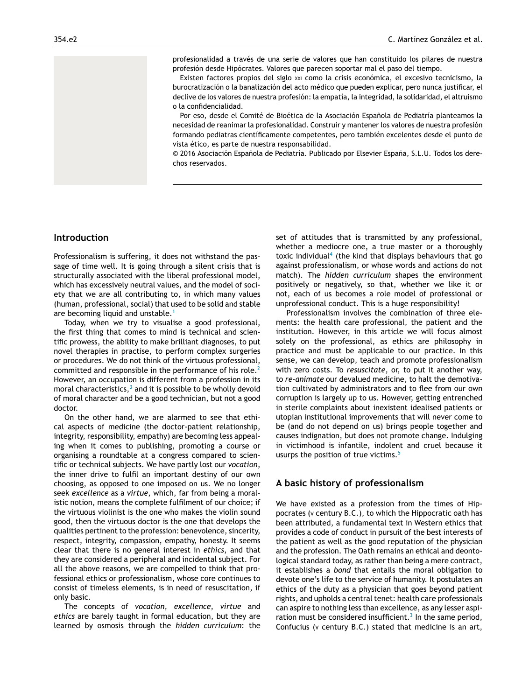profesionalidad a través de una serie de valores que han constituido los pilares de nuestra profesión desde Hipócrates. Valores que parecen soportar mal el paso del tiempo.

Existen factores propios del siglo xxi como la crisis económica, el excesivo tecnicismo, la burocratización o la banalización del acto médico que pueden explicar, pero nunca justificar, el declive de los valores de nuestra profesión: la empatía, la integridad, la solidaridad, el altruismo o la confidencialidad.

Por eso, desde el Comité de Bioética de la Asociación Española de Pediatría planteamos la necesidad de reanimar la profesionalidad. Construir y mantener los valores de nuestra profesión formando pediatras científicamente competentes, pero también excelentes desde el punto de vista ético, es parte de nuestra responsabilidad.

© 2016 Asociación Española de Pediatría. Publicado por Elsevier España, S.L.U. Todos los derechos reservados.

## **Introduction**

Professionalism is suffering, it does not withstand the passage of time well. It is going through a silent crisis that is structurally associated with the liberal professional model, which has excessively neutral values, and the model of society that we are all contributing to, in which many values (human, professional, social) that used to be solid and stable are becoming liquid and unstable.<sup>[1](#page-3-0)</sup>

Today, when we try to visualise a good professional, the first thing that comes to mind is technical and scientific prowess, the ability to make brilliant diagnoses, to put novel therapies in practise, to perform complex surgeries or procedures. We do not think of the virtuous professional, committed and responsible in the performance of his role.<sup>[2](#page-3-0)</sup> However, an occupation is different from a profession in its mor[a](#page-3-0)l characteristics, $3$  and it is possible to be wholly devoid of moral character and be a good technician, but not a good doctor.

On the other hand, we are alarmed to see that ethical aspects of medicine (the doctor-patient relationship, integrity, responsibility, empathy) are becoming less appealing when it comes to publishing, promoting a course or organising a roundtable at a congress compared to scientific or technical subjects. We have partly lost our *vocation*, the inner drive to fulfil an important destiny of our own choosing, as opposed to one imposed on us. We no longer seek *excellence* as a *virtue*, which, far from being a moralistic notion, means the complete fulfilment of our choice; if the virtuous violinist is the one who makes the violin sound good, then the virtuous doctor is the one that develops the qualities pertinent to the profession: benevolence, sincerity, respect, integrity, compassion, empathy, honesty. It seems clear that there is no general interest in *ethics*, and that they are considered a peripheral and incidental subject. For all the above reasons, we are compelled to think that professional ethics or professionalism, whose core continues to consist of timeless elements, is in need of resuscitation, if only basic.

The concepts of *vocation*, *excellence*, *virtue* and *ethics* are barely taught in formal education, but they are learned by osmosis through the *hidden curriculum*: the

set of attitudes that is transmitted by any professional, whether a mediocre one, a true master or a thoroughly toxic individual<sup>[4](#page-3-0)</sup> (the kind that displays behaviours that go against professionalism, or whose words and actions do not match). The *hidden curriculum* shapes the environment positively or negatively, so that, whether we like it or not, each of us becomes a role model of professional or unprofessional conduct. This is a huge responsibility!

Professionalism involves the combination of three elements: the health care professional, the patient and the institution. However, in this article we will focus almost solely on the professional, as ethics are philosophy in practice and must be applicable to our practice. In this sense, we can develop, teach and promote professionalism with zero costs. To *resuscitate*, or, to put it another way, to *re-animate* our devalued medicine, to halt the demotivation cultivated by administrators and to flee from our own corruption is largely up to us. However, getting entrenched in sterile complaints about inexistent idealised patients or utopian institutional improvements that will never come to be (and do not depend on us) brings people together and causes indignation, but does not promote change. Indulging in victimhood is infantile, indolent and cruel because it usurps the position of true victims.<sup>[5](#page-3-0)</sup>

## **A basic history of professionalism**

We have existed as a profession from the times of Hippocrates (v century B.C.), to which the Hippocratic oath has been attributed, a fundamental text in Western ethics that provides a code of conduct in pursuit of the best interests of the patient as well as the good reputation of the physician and the profession. The Oath remains an ethical and deontological standard today, as rather than being a mere contract, it establishes a *bond* that entails the moral obligation to devote one's life to the service of humanity. It postulates an ethics of the duty as a physician that goes beyond patient rights, and upholds a central tenet: health care professionals can aspire to nothing less than excellence, as any lesser aspi-ration must be considered insufficient.<sup>3</sup> [In](#page-3-0) the same period, Confucius (V century B.C.) stated that medicine is an art,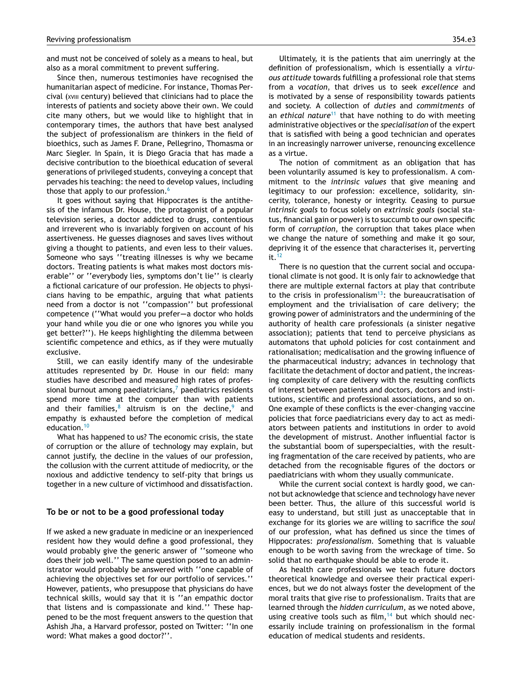and must not be conceived of solely as a means to heal, but also as a moral commitment to prevent suffering.

Since then, numerous testimonies have recognised the humanitarian aspect of medicine. For instance, Thomas Percival (XVIII century) believed that clinicians had to place the interests of patients and society above their own. We could cite many others, but we would like to highlight that in contemporary times, the authors that have best analysed the subject of professionalism are thinkers in the field of bioethics, such as James F. Drane, Pellegrino, Thomasma or Marc Siegler. In Spain, it is Diego Gracia that has made a decisive contribution to the bioethical education of several generations of privileged students, conveying a concept that pervades his teaching: the need to develop values, including those that apply to our profession.<sup>[6](#page-3-0)</sup>

It goes without saying that Hippocrates is the antithesis of the infamous Dr. House, the protagonist of a popular television series, a doctor addicted to drugs, contentious and irreverent who is invariably forgiven on account of his assertiveness. He guesses diagnoses and saves lives without giving a thought to patients, and even less to their values. Someone who says ''treating illnesses is why we became doctors. Treating patients is what makes most doctors miserable'' or ''everybody lies, symptoms don't lie'' is clearly a fictional caricature of our profession. He objects to physicians having to be empathic, arguing that what patients need from a doctor is not ''compassion'' but professional competence ("What would you prefer--a doctor who holds your hand while you die or one who ignores you while you get better?''). He keeps highlighting the dilemma between scientific competence and ethics, as if they were mutually exclusive.

Still, we can easily identify many of the undesirable attitudes represented by Dr. House in our field: many studies have described and measured high rates of professional burnout among paediatricians, $<sup>7</sup>$  $<sup>7</sup>$  $<sup>7</sup>$  paediatrics residents</sup> spend more time at the computer than with patients and their families, $8$  altruism is on the decline, $9$  and empathy is exhausted before the completion of medical education.<sup>[10](#page-3-0)</sup>

What has happened to us? The economic crisis, the state of corruption or the allure of technology may explain, but cannot justify, the decline in the values of our profession, the collusion with the current attitude of mediocrity, or the noxious and addictive tendency to self-pity that brings us together in a new culture of victimhood and dissatisfaction.

### **To be or not to be a good professional today**

If we asked a new graduate in medicine or an inexperienced resident how they would define a good professional, they would probably give the generic answer of ''someone who does their job well.'' The same question posed to an administrator would probably be answered with ''one capable of achieving the objectives set for our portfolio of services.'' However, patients, who presuppose that physicians do have technical skills, would say that it is ''an empathic doctor that listens and is compassionate and kind.'' These happened to be the most frequent answers to the question that Ashish Jha, a Harvard professor, posted on Twitter: ''In one word: What makes a good doctor?''.

Ultimately, it is the patients that aim unerringly at the definition of professionalism, which is essentially a *virtuous attitude* towards fulfilling a professional role that stems from a *vocation*, that drives us to seek *excellence* and is motivated by a sense of responsibility towards patients and society. A collection of *duties* and *commitments* of an *ethical nature*[11](#page-3-0) that have nothing to do with meeting administrative objectives or the *specialisation* of the expert that is satisfied with being a good technician and operates in an increasingly narrower universe, renouncing excellence as a virtue.

The notion of commitment as an obligation that has been voluntarily assumed is key to professionalism. A commitment to the *intrinsic values* that give meaning and legitimacy to our profession: excellence, solidarity, sincerity, tolerance, honesty or integrity. Ceasing to pursue *intrinsic goals* to focus solely on *extrinsic goals* (social status, financial gain or power) is to succumb to our own specific form of *corruption*, the corruption that takes place when we change the nature of something and make it go sour, depriving it of the essence that characterises it, perverting it.[12](#page-3-0)

There is no question that the current social and occupational climate is not good. It is only fair to acknowledge that there are multiple external factors at play that contribute to the crisis in professionalism<sup>[13](#page-3-0)</sup>: the bureaucratisation of employment and the trivialisation of care delivery; the growing power of administrators and the undermining of the authority of health care professionals (a sinister negative association); patients that tend to perceive physicians as automatons that uphold policies for cost containment and rationalisation; medicalisation and the growing influence of the pharmaceutical industry; advances in technology that facilitate the detachment of doctor and patient, the increasing complexity of care delivery with the resulting conflicts of interest between patients and doctors, doctors and institutions, scientific and professional associations, and so on. One example of these conflicts is the ever-changing vaccine policies that force paediatricians every day to act as mediators between patients and institutions in order to avoid the development of mistrust. Another influential factor is the substantial boom of superspecialties, with the resulting fragmentation of the care received by patients, who are detached from the recognisable figures of the doctors or paediatricians with whom they usually communicate.

While the current social context is hardly good, we cannot but acknowledge that science and technology have never been better. Thus, the allure of this successful world is easy to understand, but still just as unacceptable that in exchange for its glories we are willing to sacrifice the *soul* of our profession, what has defined us since the times of Hippocrates: *professionalism.* Something that is valuable enough to be worth saving from the wreckage of time. So solid that no earthquake should be able to erode it.

As health care professionals we teach future doctors theoretical knowledge and oversee their practical experiences, but we do not always foster the development of the moral traits that give rise to professionalism. Traits that are learned through the *hidden curriculum*, as we noted above, using creative tools such as film,  $14$  but which should necessarily include training on professionalism in the formal education of medical students and residents.